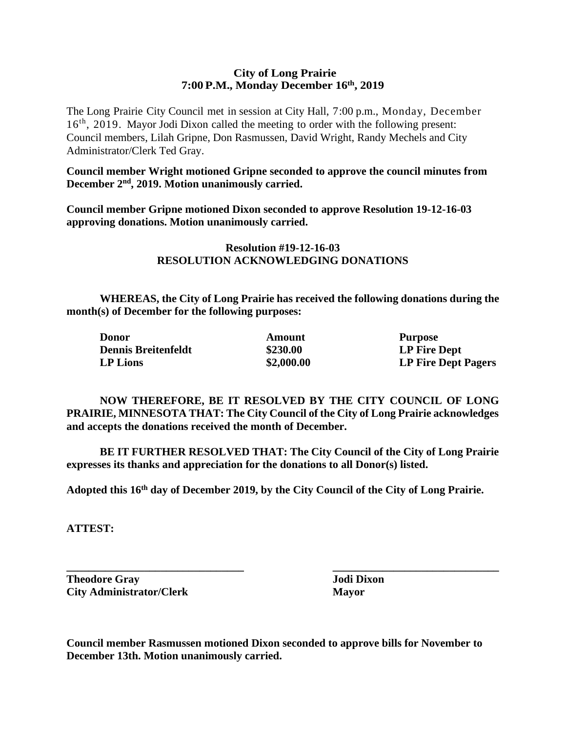### **City of Long Prairie 7:00P.M., Monday December 16th, 2019**

The Long Prairie City Council met in session at City Hall, 7:00 p.m., Monday, December 16<sup>th</sup>, 2019. Mayor Jodi Dixon called the meeting to order with the following present: Council members, Lilah Gripne, Don Rasmussen, David Wright, Randy Mechels and City Administrator/Clerk Ted Gray.

**Council member Wright motioned Gripne seconded to approve the council minutes from December 2nd, 2019. Motion unanimously carried.**

**Council member Gripne motioned Dixon seconded to approve Resolution 19-12-16-03 approving donations. Motion unanimously carried.**

# **Resolution #19-12-16-03 RESOLUTION ACKNOWLEDGING DONATIONS**

**WHEREAS, the City of Long Prairie has received the following donations during the month(s) of December for the following purposes:**

| <b>Donor</b>               | Amount     | <b>Purpose</b>             |
|----------------------------|------------|----------------------------|
| <b>Dennis Breitenfeldt</b> | \$230.00   | LP Fire Dept               |
| LP Lions                   | \$2,000.00 | <b>LP Fire Dept Pagers</b> |

**NOW THEREFORE, BE IT RESOLVED BY THE CITY COUNCIL OF LONG PRAIRIE, MINNESOTA THAT: The City Council of the City of Long Prairie acknowledges and accepts the donations received the month of December.**

**BE IT FURTHER RESOLVED THAT: The City Council of the City of Long Prairie expresses its thanks and appreciation for the donations to all Donor(s) listed.**

**Adopted this 16th day of December 2019, by the City Council of the City of Long Prairie.**

**\_\_\_\_\_\_\_\_\_\_\_\_\_\_\_\_\_\_\_\_\_\_\_\_\_\_\_\_\_\_\_\_ \_\_\_\_\_\_\_\_\_\_\_\_\_\_\_\_\_\_\_\_\_\_\_\_\_\_\_\_\_\_**

**ATTEST:**

**Theodore Gray Jodi Dixon City Administrator/Clerk Mayor**

**Council member Rasmussen motioned Dixon seconded to approve bills for November to December 13th. Motion unanimously carried.**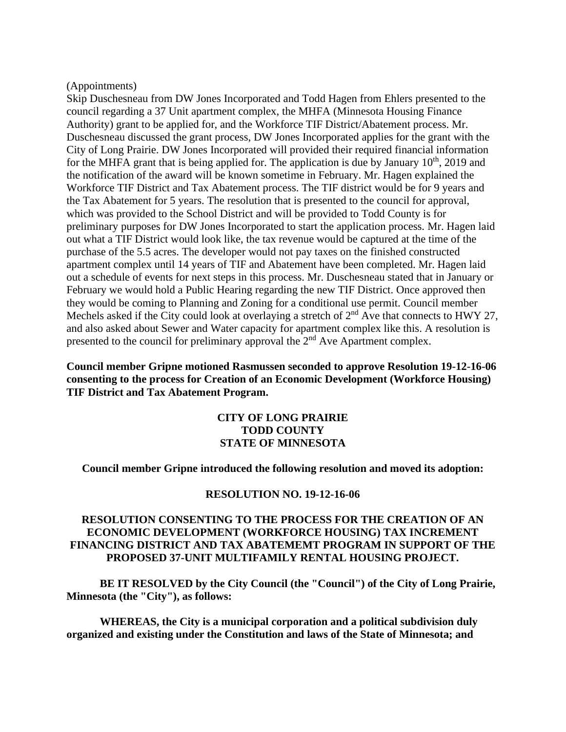#### (Appointments)

Skip Duschesneau from DW Jones Incorporated and Todd Hagen from Ehlers presented to the council regarding a 37 Unit apartment complex, the MHFA (Minnesota Housing Finance Authority) grant to be applied for, and the Workforce TIF District/Abatement process. Mr. Duschesneau discussed the grant process, DW Jones Incorporated applies for the grant with the City of Long Prairie. DW Jones Incorporated will provided their required financial information for the MHFA grant that is being applied for. The application is due by January  $10<sup>th</sup>$ , 2019 and the notification of the award will be known sometime in February. Mr. Hagen explained the Workforce TIF District and Tax Abatement process. The TIF district would be for 9 years and the Tax Abatement for 5 years. The resolution that is presented to the council for approval, which was provided to the School District and will be provided to Todd County is for preliminary purposes for DW Jones Incorporated to start the application process. Mr. Hagen laid out what a TIF District would look like, the tax revenue would be captured at the time of the purchase of the 5.5 acres. The developer would not pay taxes on the finished constructed apartment complex until 14 years of TIF and Abatement have been completed. Mr. Hagen laid out a schedule of events for next steps in this process. Mr. Duschesneau stated that in January or February we would hold a Public Hearing regarding the new TIF District. Once approved then they would be coming to Planning and Zoning for a conditional use permit. Council member Mechels asked if the City could look at overlaying a stretch of  $2<sup>nd</sup>$  Ave that connects to HWY 27, and also asked about Sewer and Water capacity for apartment complex like this. A resolution is presented to the council for preliminary approval the 2nd Ave Apartment complex.

## **Council member Gripne motioned Rasmussen seconded to approve Resolution 19-12-16-06 consenting to the process for Creation of an Economic Development (Workforce Housing) TIF District and Tax Abatement Program.**

#### **CITY OF LONG PRAIRIE TODD COUNTY STATE OF MINNESOTA**

**Council member Gripne introduced the following resolution and moved its adoption:**

#### **RESOLUTION NO. 19-12-16-06**

# **RESOLUTION CONSENTING TO THE PROCESS FOR THE CREATION OF AN ECONOMIC DEVELOPMENT (WORKFORCE HOUSING) TAX INCREMENT FINANCING DISTRICT AND TAX ABATEMEMT PROGRAM IN SUPPORT OF THE PROPOSED 37-UNIT MULTIFAMILY RENTAL HOUSING PROJECT.**

**BE IT RESOLVED by the City Council (the "Council") of the City of Long Prairie, Minnesota (the "City"), as follows:**

**WHEREAS, the City is a municipal corporation and a political subdivision duly organized and existing under the Constitution and laws of the State of Minnesota; and**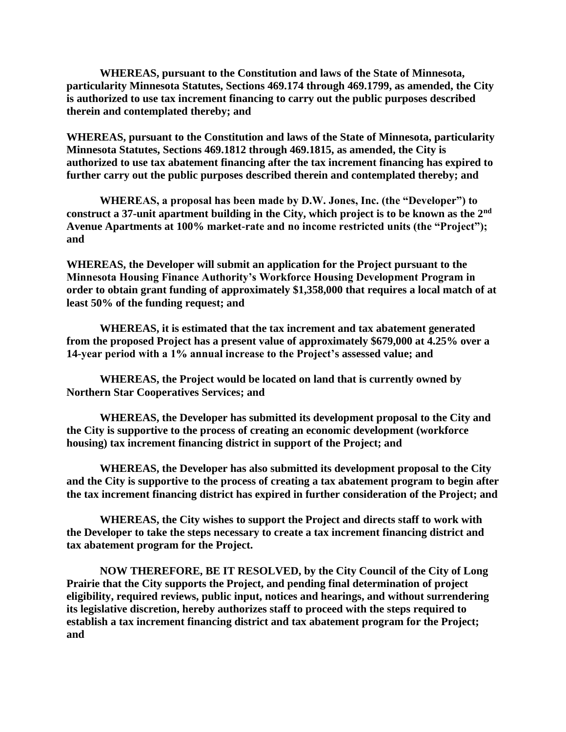**WHEREAS, pursuant to the Constitution and laws of the State of Minnesota, particularity Minnesota Statutes, Sections 469.174 through 469.1799, as amended, the City is authorized to use tax increment financing to carry out the public purposes described therein and contemplated thereby; and**

**WHEREAS, pursuant to the Constitution and laws of the State of Minnesota, particularity Minnesota Statutes, Sections 469.1812 through 469.1815, as amended, the City is authorized to use tax abatement financing after the tax increment financing has expired to further carry out the public purposes described therein and contemplated thereby; and**

**WHEREAS, a proposal has been made by D.W. Jones, Inc. (the "Developer") to construct a 37-unit apartment building in the City, which project is to be known as the 2nd Avenue Apartments at 100% market-rate and no income restricted units (the "Project"); and**

**WHEREAS, the Developer will submit an application for the Project pursuant to the Minnesota Housing Finance Authority's Workforce Housing Development Program in order to obtain grant funding of approximately \$1,358,000 that requires a local match of at least 50% of the funding request; and**

**WHEREAS, it is estimated that the tax increment and tax abatement generated from the proposed Project has a present value of approximately \$679,000 at 4.25% over a 14-year period with a 1% annual increase to the Project's assessed value; and**

**WHEREAS, the Project would be located on land that is currently owned by Northern Star Cooperatives Services; and**

**WHEREAS, the Developer has submitted its development proposal to the City and the City is supportive to the process of creating an economic development (workforce housing) tax increment financing district in support of the Project; and**

**WHEREAS, the Developer has also submitted its development proposal to the City and the City is supportive to the process of creating a tax abatement program to begin after the tax increment financing district has expired in further consideration of the Project; and**

**WHEREAS, the City wishes to support the Project and directs staff to work with the Developer to take the steps necessary to create a tax increment financing district and tax abatement program for the Project.**

**NOW THEREFORE, BE IT RESOLVED, by the City Council of the City of Long Prairie that the City supports the Project, and pending final determination of project eligibility, required reviews, public input, notices and hearings, and without surrendering its legislative discretion, hereby authorizes staff to proceed with the steps required to establish a tax increment financing district and tax abatement program for the Project; and**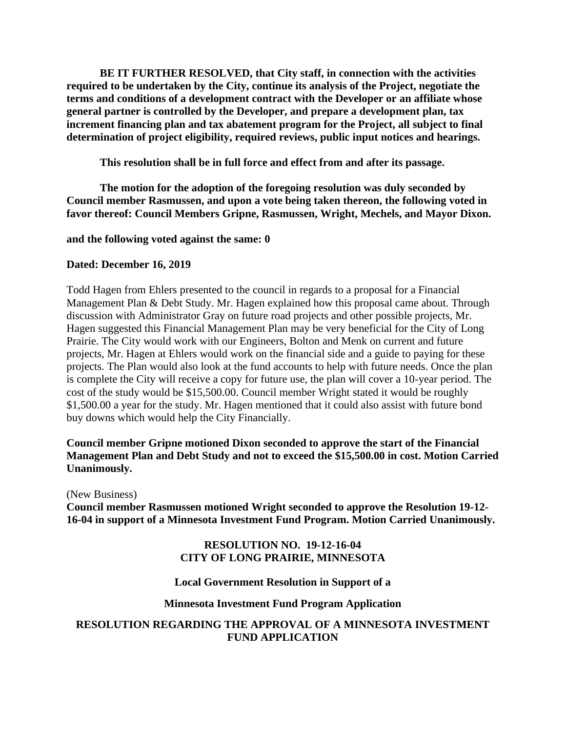**BE IT FURTHER RESOLVED, that City staff, in connection with the activities required to be undertaken by the City, continue its analysis of the Project, negotiate the terms and conditions of a development contract with the Developer or an affiliate whose general partner is controlled by the Developer, and prepare a development plan, tax increment financing plan and tax abatement program for the Project, all subject to final determination of project eligibility, required reviews, public input notices and hearings.**

**This resolution shall be in full force and effect from and after its passage.** 

**The motion for the adoption of the foregoing resolution was duly seconded by Council member Rasmussen, and upon a vote being taken thereon, the following voted in favor thereof: Council Members Gripne, Rasmussen, Wright, Mechels, and Mayor Dixon.**

**and the following voted against the same: 0**

#### **Dated: December 16, 2019**

Todd Hagen from Ehlers presented to the council in regards to a proposal for a Financial Management Plan & Debt Study. Mr. Hagen explained how this proposal came about. Through discussion with Administrator Gray on future road projects and other possible projects, Mr. Hagen suggested this Financial Management Plan may be very beneficial for the City of Long Prairie. The City would work with our Engineers, Bolton and Menk on current and future projects, Mr. Hagen at Ehlers would work on the financial side and a guide to paying for these projects. The Plan would also look at the fund accounts to help with future needs. Once the plan is complete the City will receive a copy for future use, the plan will cover a 10-year period. The cost of the study would be \$15,500.00. Council member Wright stated it would be roughly \$1,500.00 a year for the study. Mr. Hagen mentioned that it could also assist with future bond buy downs which would help the City Financially.

### **Council member Gripne motioned Dixon seconded to approve the start of the Financial Management Plan and Debt Study and not to exceed the \$15,500.00 in cost. Motion Carried Unanimously.**

(New Business)

**Council member Rasmussen motioned Wright seconded to approve the Resolution 19-12- 16-04 in support of a Minnesota Investment Fund Program. Motion Carried Unanimously.** 

### **RESOLUTION NO. 19-12-16-04 CITY OF LONG PRAIRIE, MINNESOTA**

### **Local Government Resolution in Support of a**

#### **Minnesota Investment Fund Program Application**

### **RESOLUTION REGARDING THE APPROVAL OF A MINNESOTA INVESTMENT FUND APPLICATION**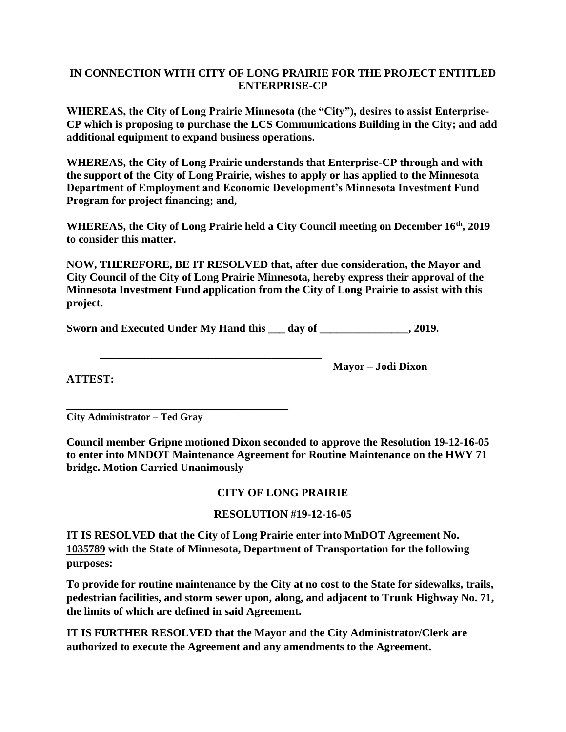# **IN CONNECTION WITH CITY OF LONG PRAIRIE FOR THE PROJECT ENTITLED ENTERPRISE-CP**

**WHEREAS, the City of Long Prairie Minnesota (the "City"), desires to assist Enterprise-CP which is proposing to purchase the LCS Communications Building in the City; and add additional equipment to expand business operations.** 

**WHEREAS, the City of Long Prairie understands that Enterprise-CP through and with the support of the City of Long Prairie, wishes to apply or has applied to the Minnesota Department of Employment and Economic Development's Minnesota Investment Fund Program for project financing; and,**

**WHEREAS, the City of Long Prairie held a City Council meeting on December 16th, 2019 to consider this matter.**

**NOW, THEREFORE, BE IT RESOLVED that, after due consideration, the Mayor and City Council of the City of Long Prairie Minnesota, hereby express their approval of the Minnesota Investment Fund application from the City of Long Prairie to assist with this project.** 

**Sworn and Executed Under My Hand this day of the case of the Second Second Executed Under My Hand this day of the case of the second Second Second Second Second Second Second Second Second Second Second Second Second Seco** 

**\_\_\_\_\_\_\_\_\_\_\_\_\_\_\_\_\_\_\_\_\_\_\_\_\_\_\_\_\_\_\_\_\_\_\_\_\_\_\_\_**

**ATTEST:**

**Mayor – Jodi Dixon** 

**\_\_\_\_\_\_\_\_\_\_\_\_\_\_\_\_\_\_\_\_\_\_\_\_\_\_\_\_\_\_\_\_\_\_\_\_\_\_\_\_ City Administrator – Ted Gray** 

**Council member Gripne motioned Dixon seconded to approve the Resolution 19-12-16-05 to enter into MNDOT Maintenance Agreement for Routine Maintenance on the HWY 71 bridge. Motion Carried Unanimously**

# **CITY OF LONG PRAIRIE**

# **RESOLUTION #19-12-16-05**

**IT IS RESOLVED that the City of Long Prairie enter into MnDOT Agreement No. 1035789 with the State of Minnesota, Department of Transportation for the following purposes:**

**To provide for routine maintenance by the City at no cost to the State for sidewalks, trails, pedestrian facilities, and storm sewer upon, along, and adjacent to Trunk Highway No. 71, the limits of which are defined in said Agreement.**

**IT IS FURTHER RESOLVED that the Mayor and the City Administrator/Clerk are authorized to execute the Agreement and any amendments to the Agreement.**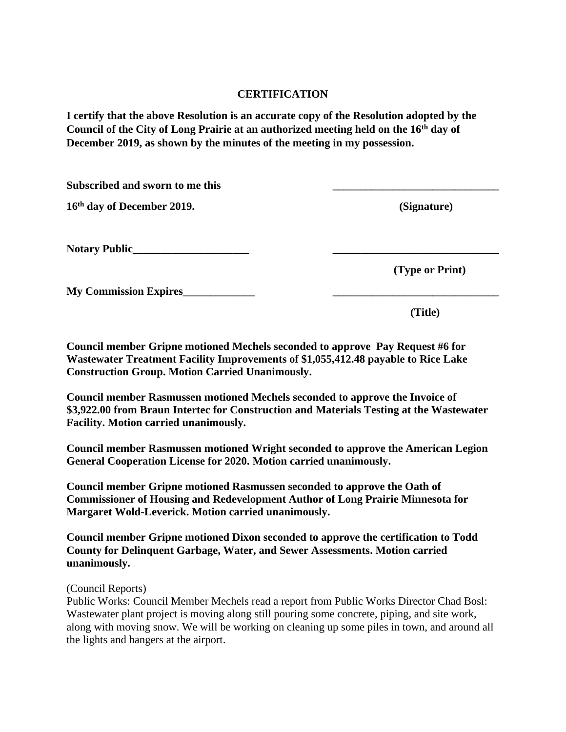### **CERTIFICATION**

**I certify that the above Resolution is an accurate copy of the Resolution adopted by the Council of the City of Long Prairie at an authorized meeting held on the 16th day of December 2019, as shown by the minutes of the meeting in my possession.**

| Subscribed and sworn to me this |                 |
|---------------------------------|-----------------|
| 16th day of December 2019.      | (Signature)     |
| Notary Public                   |                 |
|                                 | (Type or Print) |
| <b>My Commission Expires</b>    |                 |
|                                 | (Title)         |

**Council member Gripne motioned Mechels seconded to approve Pay Request #6 for Wastewater Treatment Facility Improvements of \$1,055,412.48 payable to Rice Lake Construction Group. Motion Carried Unanimously.**

**Council member Rasmussen motioned Mechels seconded to approve the Invoice of \$3,922.00 from Braun Intertec for Construction and Materials Testing at the Wastewater Facility. Motion carried unanimously.** 

**Council member Rasmussen motioned Wright seconded to approve the American Legion General Cooperation License for 2020. Motion carried unanimously.**

**Council member Gripne motioned Rasmussen seconded to approve the Oath of Commissioner of Housing and Redevelopment Author of Long Prairie Minnesota for Margaret Wold-Leverick. Motion carried unanimously.** 

**Council member Gripne motioned Dixon seconded to approve the certification to Todd County for Delinquent Garbage, Water, and Sewer Assessments. Motion carried unanimously.**

(Council Reports)

Public Works: Council Member Mechels read a report from Public Works Director Chad Bosl: Wastewater plant project is moving along still pouring some concrete, piping, and site work, along with moving snow. We will be working on cleaning up some piles in town, and around all the lights and hangers at the airport.